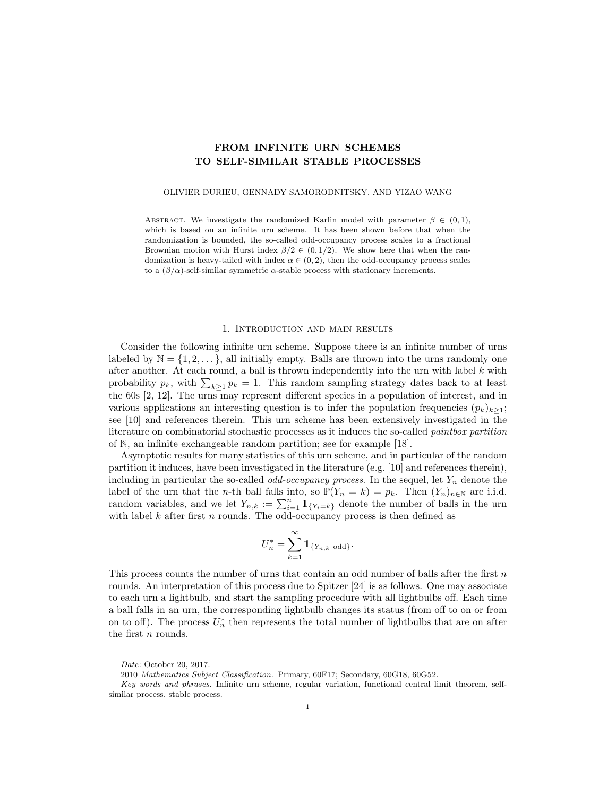# FROM INFINITE URN SCHEMES TO SELF-SIMILAR STABLE PROCESSES

### OLIVIER DURIEU, GENNADY SAMORODNITSKY, AND YIZAO WANG

ABSTRACT. We investigate the randomized Karlin model with parameter  $\beta \in (0,1)$ , which is based on an infinite urn scheme. It has been shown before that when the randomization is bounded, the so-called odd-occupancy process scales to a fractional Brownian motion with Hurst index  $\beta/2 \in (0, 1/2)$ . We show here that when the randomization is heavy-tailed with index  $\alpha \in (0, 2)$ , then the odd-occupancy process scales to a  $(\beta/\alpha)$ -self-similar symmetric  $\alpha$ -stable process with stationary increments.

#### 1. Introduction and main results

Consider the following infinite urn scheme. Suppose there is an infinite number of urns labeled by  $\mathbb{N} = \{1, 2, \ldots\}$ , all initially empty. Balls are thrown into the urns randomly one after another. At each round, a ball is thrown independently into the urn with label  $k$  with probability  $p_k$ , with  $\sum_{k\geq 1} p_k = 1$ . This random sampling strategy dates back to at least the 60s [2, 12]. The urns may represent different species in a population of interest, and in various applications an interesting question is to infer the population frequencies  $(p_k)_{k\geq 1}$ ; see [10] and references therein. This urn scheme has been extensively investigated in the literature on combinatorial stochastic processes as it induces the so-called paintbox partition of N, an infinite exchangeable random partition; see for example [18].

Asymptotic results for many statistics of this urn scheme, and in particular of the random partition it induces, have been investigated in the literature (e.g. [10] and references therein), including in particular the so-called *odd-occupancy process*. In the sequel, let  $Y_n$  denote the label of the urn that the *n*-th ball falls into, so  $\mathbb{P}(Y_n = k) = p_k$ . Then  $(Y_n)_{n \in \mathbb{N}}$  are i.i.d. random variables, and we let  $Y_{n,k} := \sum_{i=1}^n 1_{\{Y_i = k\}}$  denote the number of balls in the urn with label  $k$  after first  $n$  rounds. The odd-occupancy process is then defined as

$$
U_n^*=\sum_{k=1}^\infty 1\!\!1_{\{Y_{n,k}\text{ odd}\}}.
$$

This process counts the number of urns that contain an odd number of balls after the first  $n$ rounds. An interpretation of this process due to Spitzer [24] is as follows. One may associate to each urn a lightbulb, and start the sampling procedure with all lightbulbs off. Each time a ball falls in an urn, the corresponding lightbulb changes its status (from off to on or from on to off). The process  $U_n^*$  then represents the total number of lightbulbs that are on after the first *n* rounds.

Date: October 20, 2017.

<sup>2010</sup> Mathematics Subject Classification. Primary, 60F17; Secondary, 60G18, 60G52.

Key words and phrases. Infinite urn scheme, regular variation, functional central limit theorem, selfsimilar process, stable process.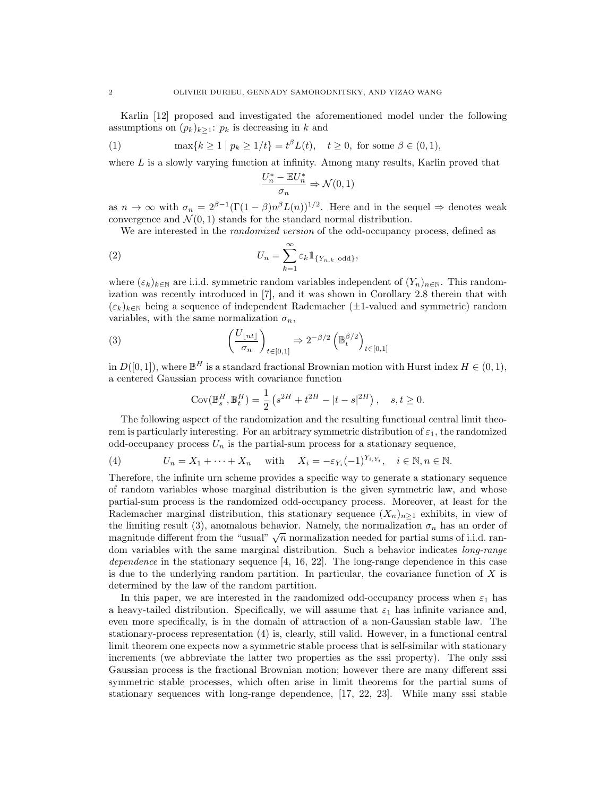Karlin [12] proposed and investigated the aforementioned model under the following assumptions on  $(p_k)_{k\geq 1}$ :  $p_k$  is decreasing in k and

(1) 
$$
\max\{k \ge 1 \mid p_k \ge 1/t\} = t^{\beta}L(t), \quad t \ge 0, \text{ for some } \beta \in (0,1),
$$

where  $L$  is a slowly varying function at infinity. Among many results, Karlin proved that

$$
\frac{U_n^* - \mathbb{E}U_n^*}{\sigma_n} \Rightarrow \mathcal{N}(0, 1)
$$

as  $n \to \infty$  with  $\sigma_n = 2^{\beta - 1} (\Gamma(1 - \beta)n^{\beta} L(n))^{1/2}$ . Here and in the sequel  $\Rightarrow$  denotes weak convergence and  $\mathcal{N}(0, 1)$  stands for the standard normal distribution.

We are interested in the *randomized version* of the odd-occupancy process, defined as

(2) 
$$
U_n = \sum_{k=1}^{\infty} \varepsilon_k \mathbb{1}_{\{Y_{n,k} \text{ odd}\}},
$$

where  $(\varepsilon_k)_{k\in\mathbb{N}}$  are i.i.d. symmetric random variables independent of  $(Y_n)_{n\in\mathbb{N}}$ . This randomization was recently introduced in [7], and it was shown in Corollary 2.8 therein that with  $(\varepsilon_k)_{k\in\mathbb{N}}$  being a sequence of independent Rademacher ( $\pm 1$ -valued and symmetric) random variables, with the same normalization  $\sigma_n$ ,

(3) 
$$
\left(\frac{U_{\lfloor nt \rfloor}}{\sigma_n}\right)_{t \in [0,1]} \Rightarrow 2^{-\beta/2} \left(\mathbb{B}_t^{\beta/2}\right)_{t \in [0,1]}
$$

in  $D([0,1])$ , where  $\mathbb{B}^H$  is a standard fractional Brownian motion with Hurst index  $H \in (0,1)$ , a centered Gaussian process with covariance function

$$
Cov(\mathbb{B}_{s}^{H}, \mathbb{B}_{t}^{H}) = \frac{1}{2} (s^{2H} + t^{2H} - |t - s|^{2H}), \quad s, t \ge 0.
$$

The following aspect of the randomization and the resulting functional central limit theorem is particularly interesting. For an arbitrary symmetric distribution of  $\varepsilon_1$ , the randomized odd-occupancy process  $U_n$  is the partial-sum process for a stationary sequence,

(4) 
$$
U_n = X_1 + \dots + X_n \quad \text{with} \quad X_i = -\varepsilon_{Y_i} (-1)^{Y_i, Y_i}, \quad i \in \mathbb{N}, n \in \mathbb{N}.
$$

Therefore, the infinite urn scheme provides a specific way to generate a stationary sequence of random variables whose marginal distribution is the given symmetric law, and whose partial-sum process is the randomized odd-occupancy process. Moreover, at least for the Rademacher marginal distribution, this stationary sequence  $(X_n)_{n\geq 1}$  exhibits, in view of the limiting result (3), anomalous behavior. Namely, the normalization  $\sigma_n$  has an order of the miniting result (5), anomalous behavior. Namely, the normalization  $v_n$  has an order or<br>magnitude different from the "usual"  $\sqrt{n}$  normalization needed for partial sums of i.i.d. random variables with the same marginal distribution. Such a behavior indicates long-range dependence in the stationary sequence  $[4, 16, 22]$ . The long-range dependence in this case is due to the underlying random partition. In particular, the covariance function of  $X$  is determined by the law of the random partition.

In this paper, we are interested in the randomized odd-occupancy process when  $\varepsilon_1$  has a heavy-tailed distribution. Specifically, we will assume that  $\varepsilon_1$  has infinite variance and, even more specifically, is in the domain of attraction of a non-Gaussian stable law. The stationary-process representation (4) is, clearly, still valid. However, in a functional central limit theorem one expects now a symmetric stable process that is self-similar with stationary increments (we abbreviate the latter two properties as the sssi property). The only sssi Gaussian process is the fractional Brownian motion; however there are many different sssi symmetric stable processes, which often arise in limit theorems for the partial sums of stationary sequences with long-range dependence, [17, 22, 23]. While many sssi stable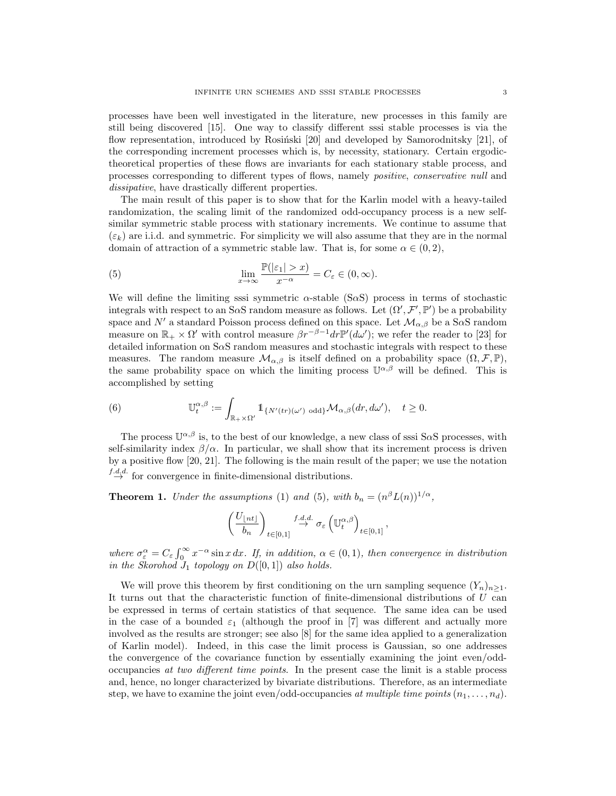processes have been well investigated in the literature, new processes in this family are still being discovered [15]. One way to classify different sssi stable processes is via the flow representation, introduced by Rosiński  $[20]$  and developed by Samorodnitsky  $[21]$ , of the corresponding increment processes which is, by necessity, stationary. Certain ergodictheoretical properties of these flows are invariants for each stationary stable process, and processes corresponding to different types of flows, namely positive, conservative null and dissipative, have drastically different properties.

The main result of this paper is to show that for the Karlin model with a heavy-tailed randomization, the scaling limit of the randomized odd-occupancy process is a new selfsimilar symmetric stable process with stationary increments. We continue to assume that  $(\varepsilon_k)$  are i.i.d. and symmetric. For simplicity we will also assume that they are in the normal domain of attraction of a symmetric stable law. That is, for some  $\alpha \in (0, 2)$ ,

(5) 
$$
\lim_{x \to \infty} \frac{\mathbb{P}(|\varepsilon_1| > x)}{x^{-\alpha}} = C_{\varepsilon} \in (0, \infty).
$$

We will define the limiting sssi symmetric  $\alpha$ -stable (S $\alpha$ S) process in terms of stochastic integrals with respect to an SaS random measure as follows. Let  $(\Omega', \mathcal{F}', \mathbb{P}')$  be a probability space and  $N'$  a standard Poisson process defined on this space. Let  $\mathcal{M}_{\alpha,\beta}$  be a S $\alpha$ S random measure on  $\mathbb{R}_+ \times \Omega'$  with control measure  $\beta r^{-\beta-1} dr \mathbb{P}'(d\omega')$ ; we refer the reader to [23] for detailed information on SαS random measures and stochastic integrals with respect to these measures. The random measure  $\mathcal{M}_{\alpha,\beta}$  is itself defined on a probability space  $(\Omega,\mathcal{F},\mathbb{P}),$ the same probability space on which the limiting process  $\mathbb{U}^{\alpha,\beta}$  will be defined. This is accomplished by setting

(6) 
$$
\mathbb{U}^{\alpha,\beta}_t := \int_{\mathbb{R}_+ \times \Omega'} \mathbb{1}_{\{N'(tr)(\omega') \text{ odd}\}} \mathcal{M}_{\alpha,\beta}(dr,d\omega'), \quad t \geq 0.
$$

The process  $\mathbb{U}^{\alpha,\beta}$  is, to the best of our knowledge, a new class of sssi SaS processes, with self-similarity index  $\beta/\alpha$ . In particular, we shall show that its increment process is driven by a positive flow [20, 21]. The following is the main result of the paper; we use the notation  $\stackrel{f.d.d.}{\rightarrow}$  for convergence in finite-dimensional distributions.

**Theorem 1.** Under the assumptions (1) and (5), with  $b_n = (n^{\beta}L(n))^{1/\alpha}$ ,

$$
\left(\frac{U_{\lfloor nt\rfloor}}{b_n}\right)_{t\in [0,1]} \stackrel{f.d.d.}\to \sigma_{\varepsilon}\left(\mathbb{U}^{\alpha,\beta}_t\right)_{t\in [0,1]},
$$

where  $\sigma_{\varepsilon}^{\alpha} = C_{\varepsilon} \int_0^{\infty} x^{-\alpha} \sin x \, dx$ . If, in addition,  $\alpha \in (0,1)$ , then convergence in distribution in the Skorohod  $J_1$  topology on  $D([0,1])$  also holds.

We will prove this theorem by first conditioning on the urn sampling sequence  $(Y_n)_{n\geq 1}$ . It turns out that the characteristic function of finite-dimensional distributions of  $U$  can be expressed in terms of certain statistics of that sequence. The same idea can be used in the case of a bounded  $\varepsilon_1$  (although the proof in [7] was different and actually more involved as the results are stronger; see also [8] for the same idea applied to a generalization of Karlin model). Indeed, in this case the limit process is Gaussian, so one addresses the convergence of the covariance function by essentially examining the joint even/oddoccupancies at two different time points. In the present case the limit is a stable process and, hence, no longer characterized by bivariate distributions. Therefore, as an intermediate step, we have to examine the joint even/odd-occupancies at multiple time points  $(n_1, \ldots, n_d)$ .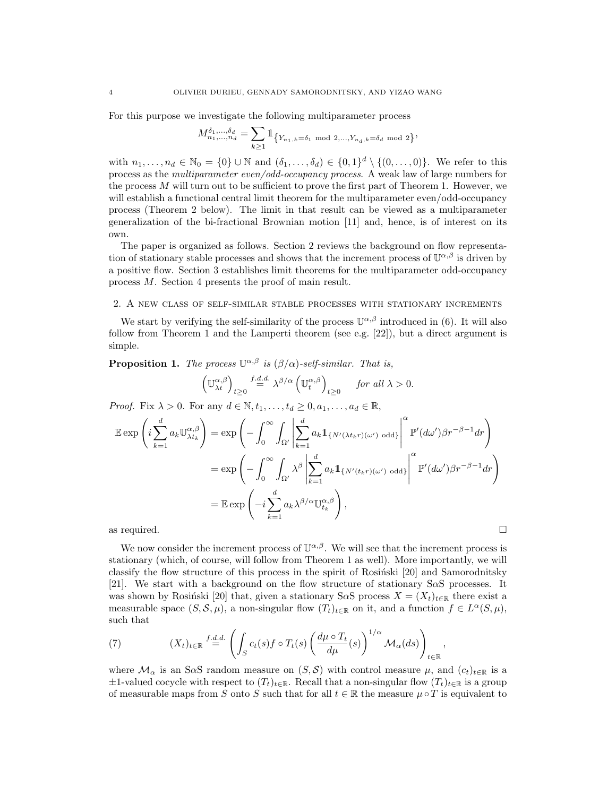For this purpose we investigate the following multiparameter process

$$
M^{\delta_1,...,\delta_d}_{n_1,...,n_d} = \sum_{k \ge 1} 1\!\!1_{\left\{Y_{n_1,k} = \delta_1 \mod 2,...,Y_{n_d,k} = \delta_d \mod 2\right\}},
$$

with  $n_1, \ldots, n_d \in \mathbb{N}_0 = \{0\} \cup \mathbb{N}$  and  $(\delta_1, \ldots, \delta_d) \in \{0, 1\}^d \setminus \{(0, \ldots, 0)\}.$  We refer to this process as the multiparameter even/odd-occupancy process. A weak law of large numbers for the process  $M$  will turn out to be sufficient to prove the first part of Theorem 1. However, we will establish a functional central limit theorem for the multiparameter even/odd-occupancy process (Theorem 2 below). The limit in that result can be viewed as a multiparameter generalization of the bi-fractional Brownian motion [11] and, hence, is of interest on its own.

The paper is organized as follows. Section 2 reviews the background on flow representation of stationary stable processes and shows that the increment process of  $\mathbb{U}^{\alpha,\beta}$  is driven by a positive flow. Section 3 establishes limit theorems for the multiparameter odd-occupancy process M. Section 4 presents the proof of main result.

## 2. A new class of self-similar stable processes with stationary increments

We start by verifying the self-similarity of the process  $\mathbb{U}^{\alpha,\beta}$  introduced in (6). It will also follow from Theorem 1 and the Lamperti theorem (see e.g. [22]), but a direct argument is simple.

**Proposition 1.** The process  $\mathbb{U}^{\alpha,\beta}$  is  $(\beta/\alpha)$ -self-similar. That is,

$$
\left(\mathbb{U}_{\lambda t}^{\alpha,\beta}\right)_{t\geq 0} \stackrel{f.d.d.}{=} \lambda^{\beta/\alpha} \left(\mathbb{U}_{t}^{\alpha,\beta}\right)_{t\geq 0} \quad \text{for all } \lambda > 0.
$$

*Proof.* Fix  $\lambda > 0$ . For any  $d \in \mathbb{N}, t_1, \ldots, t_d \geq 0, a_1, \ldots, a_d \in \mathbb{R}$ ,

$$
\mathbb{E} \exp\left(i\sum_{k=1}^{d} a_k \mathbb{U}_{\lambda t_k}^{\alpha,\beta}\right) = \exp\left(-\int_0^\infty \int_{\Omega'} \left|\sum_{k=1}^{d} a_k \mathbb{1}_{\{N'(\lambda t_k r)(\omega')\text{ odd}\}}\right|^\alpha \mathbb{P}'(d\omega')\beta r^{-\beta-1} dr\right)
$$

$$
= \exp\left(-\int_0^\infty \int_{\Omega'} \lambda^\beta \left|\sum_{k=1}^{d} a_k \mathbb{1}_{\{N'(t_k r)(\omega')\text{ odd}\}}\right|^\alpha \mathbb{P}'(d\omega')\beta r^{-\beta-1} dr\right)
$$

$$
= \mathbb{E} \exp\left(-i\sum_{k=1}^{d} a_k \lambda^{\beta/\alpha} \mathbb{U}_{t_k}^{\alpha,\beta}\right),
$$
as required.

We now consider the increment process of  $\mathbb{U}^{\alpha,\beta}$ . We will see that the increment process is stationary (which, of course, will follow from Theorem 1 as well). More importantly, we will classify the flow structure of this process in the spirit of Rosingki  $[20]$  and Samorodnitsky [21]. We start with a background on the flow structure of stationary SαS processes. It was shown by Rosiński [20] that, given a stationary S $\alpha$ S process  $X = (X_t)_{t \in \mathbb{R}}$  there exist a measurable space  $(S, \mathcal{S}, \mu)$ , a non-singular flow  $(T_t)_{t \in \mathbb{R}}$  on it, and a function  $f \in L^{\alpha}(S, \mu)$ , such that

(7) 
$$
(X_t)_{t \in \mathbb{R}} \stackrel{f.d.d.}{=} \left( \int_S c_t(s) f \circ T_t(s) \left( \frac{d\mu \circ T_t}{d\mu}(s) \right)^{1/\alpha} \mathcal{M}_\alpha(ds) \right)_{t \in \mathbb{R}},
$$

where  $\mathcal{M}_\alpha$  is an S $\alpha$ S random measure on  $(S, \mathcal{S})$  with control measure  $\mu$ , and  $(c_t)_{t \in \mathbb{R}}$  is a  $\pm 1$ -valued cocycle with respect to  $(T_t)_{t \in \mathbb{R}}$ . Recall that a non-singular flow  $(T_t)_{t \in \mathbb{R}}$  is a group of measurable maps from S onto S such that for all  $t \in \mathbb{R}$  the measure  $\mu \circ T$  is equivalent to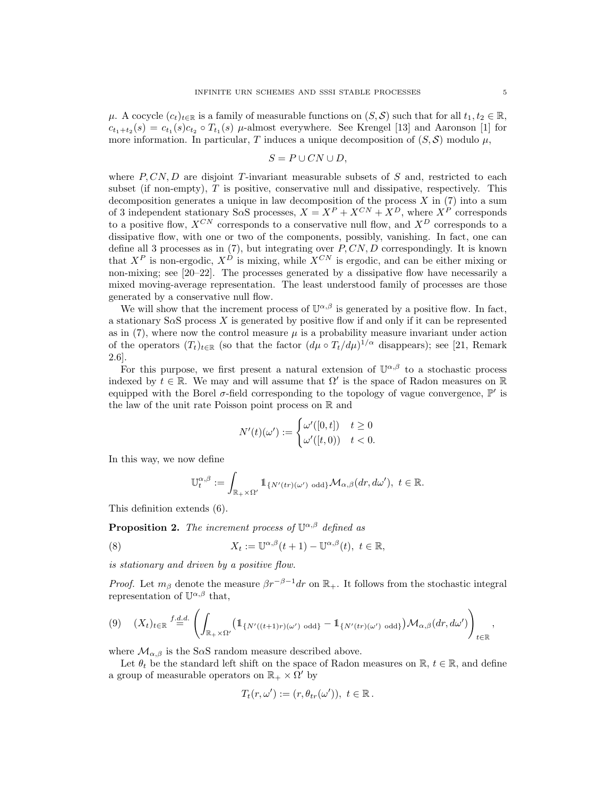$\mu$ . A cocycle  $(c_t)_{t\in\mathbb{R}}$  is a family of measurable functions on  $(S, \mathcal{S})$  such that for all  $t_1, t_2 \in \mathbb{R}$ ,  $c_{t_1+t_2}(s) = c_{t_1}(s)c_{t_2} \circ T_{t_1}(s)$   $\mu$ -almost everywhere. See Krengel [13] and Aaronson [1] for more information. In particular, T induces a unique decomposition of  $(S, \mathcal{S})$  modulo  $\mu$ ,

$$
S = P \cup CN \cup D,
$$

where  $P, CN, D$  are disjoint T-invariant measurable subsets of S and, restricted to each subset (if non-empty), T is positive, conservative null and dissipative, respectively. This decomposition generates a unique in law decomposition of the process  $X$  in (7) into a sum of 3 independent stationary S $\alpha$ S processes,  $X = X^P + X^{CN} + X^D$ , where  $X^P$  corresponds to a positive flow,  $X^{CN}$  corresponds to a conservative null flow, and  $X^{D}$  corresponds to a dissipative flow, with one or two of the components, possibly, vanishing. In fact, one can define all 3 processes as in  $(7)$ , but integrating over  $P, CN, D$  correspondingly. It is known that  $X^P$  is non-ergodic,  $X^D$  is mixing, while  $X^{CN}$  is ergodic, and can be either mixing or non-mixing; see [20–22]. The processes generated by a dissipative flow have necessarily a mixed moving-average representation. The least understood family of processes are those generated by a conservative null flow.

We will show that the increment process of  $\mathbb{U}^{\alpha,\beta}$  is generated by a positive flow. In fact, a stationary S $\alpha$ S process X is generated by positive flow if and only if it can be represented as in  $(7)$ , where now the control measure  $\mu$  is a probability measure invariant under action of the operators  $(T_t)_{t\in\mathbb{R}}$  (so that the factor  $(d\mu \circ T_t/d\mu)^{1/\alpha}$  disappears); see [21, Remark 2.6].

For this purpose, we first present a natural extension of  $\mathbb{U}^{\alpha,\beta}$  to a stochastic process indexed by  $t \in \mathbb{R}$ . We may and will assume that  $\Omega'$  is the space of Radon measures on R equipped with the Borel  $\sigma$ -field corresponding to the topology of vague convergence,  $\mathbb{P}'$  is the law of the unit rate Poisson point process on R and

$$
N'(t)(\omega') := \begin{cases} \omega'([0,t]) & t \ge 0\\ \omega'([t,0)) & t < 0. \end{cases}
$$

In this way, we now define

$$
\mathbb{U}_{t}^{\alpha,\beta}:=\int_{\mathbb{R}_{+}\times\Omega'}\mathbb{1}_{\{N'(tr)(\omega')\text{ odd}\}}\mathcal{M}_{\alpha,\beta}(dr,d\omega'),\ t\in\mathbb{R}.
$$

This definition extends (6).

**Proposition 2.** The increment process of  $\mathbb{U}^{\alpha,\beta}$  defined as

(8) 
$$
X_t := \mathbb{U}^{\alpha,\beta}(t+1) - \mathbb{U}^{\alpha,\beta}(t), \ t \in \mathbb{R},
$$

is stationary and driven by a positive flow.

*Proof.* Let  $m_\beta$  denote the measure  $\beta r^{-\beta-1}dr$  on  $\mathbb{R}_+$ . It follows from the stochastic integral representation of  $\mathbb{U}^{\alpha,\beta}$  that,

$$
(9) \quad (X_t)_{t\in\mathbb{R}} \stackrel{f.d.d.}{=} \left( \int_{\mathbb{R}_+\times\Omega'} \left(1_{\{N'((t+1)r)(\omega')\text{ odd}\}} - 1_{\{N'(tr)(\omega')\text{ odd}\}}\right) \mathcal{M}_{\alpha,\beta}(dr,d\omega') \right)_{t\in\mathbb{R}},
$$

where  $\mathcal{M}_{\alpha,\beta}$  is the SaS random measure described above.

Let  $\theta_t$  be the standard left shift on the space of Radon measures on R,  $t \in \mathbb{R}$ , and define a group of measurable operators on  $\mathbb{R}_+ \times \Omega'$  by

$$
T_t(r,\omega') := (r,\theta_{tr}(\omega')), \ t \in \mathbb{R}.
$$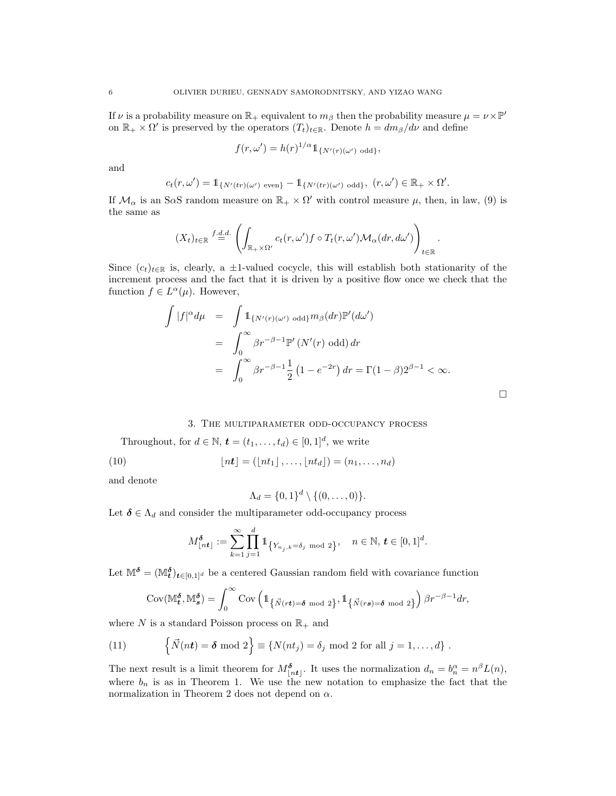If  $\nu$  is a probability measure on  $\mathbb{R}_+$  equivalent to  $m_\beta$  then the probability measure  $\mu = \nu \times \mathbb{P}'$ on  $\mathbb{R}_+ \times \Omega'$  is preserved by the operators  $(T_t)_{t \in \mathbb{R}}$ . Denote  $h = dm_\beta/d\nu$  and define

$$
f(r,\omega') = h(r)^{1/\alpha} 1\!\!1_{\{N'(r)(\omega')\text{ odd}\}},
$$

and

$$
c_t(r,\omega')=\mathbb{1}_{\{N'(tr)(\omega')\text{ even}\}}-\mathbb{1}_{\{N'(tr)(\omega')\text{ odd}\}}, (r,\omega')\in\mathbb{R}_+\times\Omega'.
$$

If  $\mathcal{M}_{\alpha}$  is an S $\alpha$ S random measure on  $\mathbb{R}_{+}\times \Omega'$  with control measure  $\mu$ , then, in law, (9) is the same as

$$
(X_t)_{t\in\mathbb{R}} \stackrel{f.d.d.}{=} \left( \int_{\mathbb{R}_+\times\Omega'} c_t(r,\omega')f \circ T_t(r,\omega') \mathcal{M}_\alpha(dr,d\omega') \right)_{t\in\mathbb{R}}.
$$

Since  $(c_t)_{t\in\mathbb{R}}$  is, clearly, a ±1-valued cocycle, this will establish both stationarity of the increment process and the fact that it is driven by a positive flow once we check that the function  $f \in L^{\alpha}(\mu)$ . However,

$$
\int |f|^{\alpha} d\mu = \int 1_{\{N'(r)(\omega') \text{ odd}\}} m_{\beta}(dr) \mathbb{P}'(d\omega')
$$
  
= 
$$
\int_0^{\infty} \beta r^{-\beta - 1} \mathbb{P}'(N'(r) \text{ odd}) dr
$$
  
= 
$$
\int_0^{\infty} \beta r^{-\beta - 1} \frac{1}{2} (1 - e^{-2r}) dr = \Gamma(1 - \beta) 2^{\beta - 1} < \infty.
$$

## 3. The multiparameter odd-occupancy process

Throughout, for  $d \in \mathbb{N}$ ,  $\mathbf{t} = (t_1, \ldots, t_d) \in [0, 1]^d$ , we write

(10) 
$$
\lfloor nt \rfloor = (\lfloor nt_1 \rfloor, \ldots, \lfloor nt_d \rfloor) = (n_1, \ldots, n_d)
$$

and denote

$$
\Lambda_d = \{0,1\}^d \setminus \{(0,\ldots,0)\}.
$$

Let  $\delta \in \Lambda_d$  and consider the multiparameter odd-occupancy process

$$
M_{\lfloor nt \rfloor}^{\delta} := \sum_{k=1}^{\infty} \prod_{j=1}^{d} 1_{\{Y_{n_j,k} = \delta_j \mod 2\}}, \quad n \in \mathbb{N}, t \in [0,1]^d.
$$

Let  $\mathbb{M}^{\delta} = (\mathbb{M}^{\delta}_t)_{t \in [0,1]^d}$  be a centered Gaussian random field with covariance function

$$
Cov(\mathbb{M}_{t}^{\delta}, \mathbb{M}_{s}^{\delta}) = \int_{0}^{\infty} Cov\left(\mathbb{1}_{\left\{\vec{N}(rt)=\delta \bmod 2\right\}}, \mathbb{1}_{\left\{\vec{N}(rs)=\delta \bmod 2\right\}}\right) \beta r^{-\beta-1} dr,
$$

where N is a standard Poisson process on  $\mathbb{R}_+$  and

(11) 
$$
\left\{\vec{N}(nt) = \delta \mod 2\right\} \equiv \left\{N(nt_j) = \delta_j \mod 2 \text{ for all } j = 1,\ldots,d\right\}.
$$

The next result is a limit theorem for  $M_{\lfloor nt \rfloor}^{\delta}$ . It uses the normalization  $d_n = b_n^{\alpha} = n^{\beta} L(n)$ , where  $b_n$  is as in Theorem 1. We use the new notation to emphasize the fact that the normalization in Theorem 2 does not depend on  $\alpha$ .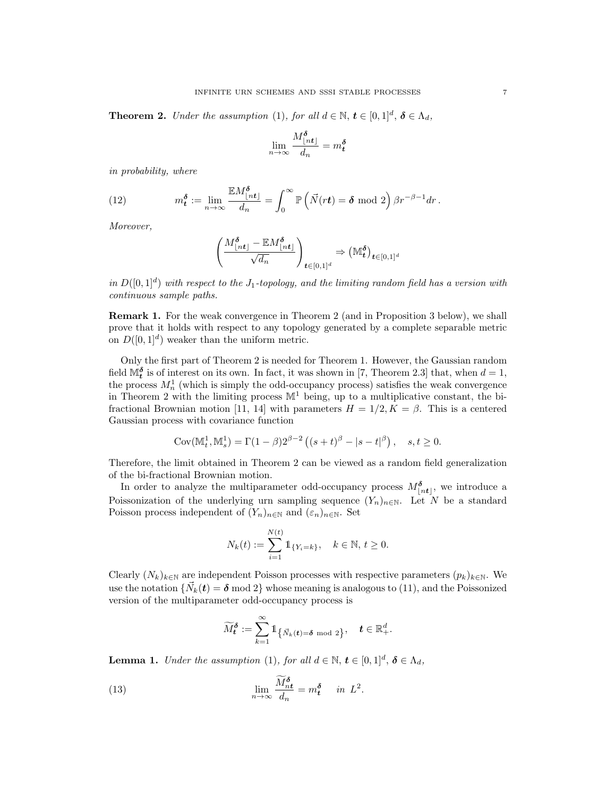**Theorem 2.** Under the assumption (1), for all  $d \in \mathbb{N}$ ,  $t \in [0,1]^d$ ,  $\delta \in \Lambda_d$ ,

$$
\lim_{n \to \infty} \frac{M_{\lfloor nt \rfloor}^{\delta}}{d_n} = m_t^{\delta}
$$

in probability, where

(12) 
$$
m_{\mathbf{t}}^{\delta} := \lim_{n \to \infty} \frac{\mathbb{E}M_{\lfloor nt \rfloor}^{\delta}}{d_n} = \int_{0}^{\infty} \mathbb{P}\left(\vec{N}(rt) = \delta \mod 2\right) \beta r^{-\beta - 1} dr.
$$

Moreover,

$$
\left(\frac{M_{\lfloor nt\rfloor}^{\delta}-\mathbb{E} M_{\lfloor nt\rfloor}^{\delta}}{\sqrt{d_n}}\right)_{\boldsymbol{t}\in [0,1]^d}\Rightarrow \left(\mathbb{M}_{\boldsymbol{t}}^{\delta}\right)_{\boldsymbol{t}\in [0,1]^d}
$$

in  $D([0,1]^d)$  with respect to the J<sub>1</sub>-topology, and the limiting random field has a version with continuous sample paths.

Remark 1. For the weak convergence in Theorem 2 (and in Proposition 3 below), we shall prove that it holds with respect to any topology generated by a complete separable metric on  $D([0,1]^d)$  weaker than the uniform metric.

Only the first part of Theorem 2 is needed for Theorem 1. However, the Gaussian random field  $\mathbb{M}_{t}^{\delta}$  is of interest on its own. In fact, it was shown in [7, Theorem 2.3] that, when  $d = 1$ , the process  $M_n^1$  (which is simply the odd-occupancy process) satisfies the weak convergence in Theorem 2 with the limiting process  $\mathbb{M}^1$  being, up to a multiplicative constant, the bifractional Brownian motion [11, 14] with parameters  $H = 1/2, K = \beta$ . This is a centered Gaussian process with covariance function

$$
Cov(\mathbb{M}_t^1, \mathbb{M}_s^1) = \Gamma(1-\beta)2^{\beta-2} ((s+t)^{\beta} - |s-t|^{\beta}), \quad s, t \ge 0.
$$

Therefore, the limit obtained in Theorem 2 can be viewed as a random field generalization of the bi-fractional Brownian motion.

In order to analyze the multiparameter odd-occupancy process  $M_{\lfloor nt \rfloor}^{\delta}$ , we introduce a Poissonization of the underlying urn sampling sequence  $(Y_n)_{n\in\mathbb{N}}$ . Let N be a standard Poisson process independent of  $(Y_n)_{n\in\mathbb{N}}$  and  $(\varepsilon_n)_{n\in\mathbb{N}}$ . Set

$$
N_k(t) := \sum_{i=1}^{N(t)} 1\!\!1_{\{Y_i = k\}}, \quad k \in \mathbb{N}, t \ge 0.
$$

Clearly  $(N_k)_{k\in\mathbb{N}}$  are independent Poisson processes with respective parameters  $(p_k)_{k\in\mathbb{N}}$ . We use the notation  $\{\vec{N}_k(t) = \delta \text{ mod } 2\}$  whose meaning is analogous to (11), and the Poissonized version of the multiparameter odd-occupancy process is

$$
\widetilde{M}_{\boldsymbol{t}}^{\boldsymbol{\delta}}:=\sum_{k=1}^{\infty}\mathbb{1}_{\left\{\vec{N}_k(\boldsymbol{t})=\boldsymbol{\delta} \bmod 2\right\}}, \quad \boldsymbol{t} \in \mathbb{R}_+^d.
$$

**Lemma 1.** Under the assumption (1), for all  $d \in \mathbb{N}$ ,  $t \in [0,1]^d$ ,  $\delta \in \Lambda_d$ ,

(13) 
$$
\lim_{n \to \infty} \frac{\widetilde{M}_{nt}^{\delta}}{d_n} = m_t^{\delta} \quad in \ L^2.
$$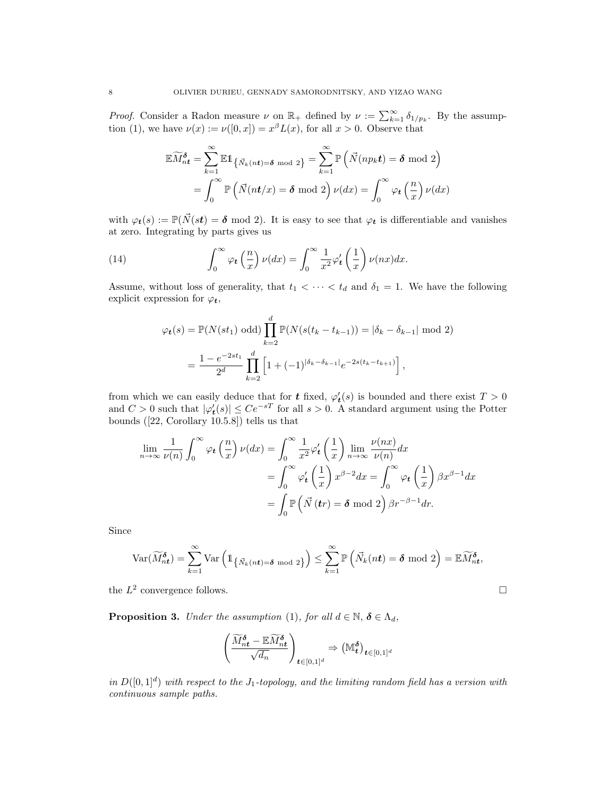*Proof.* Consider a Radon measure  $\nu$  on  $\mathbb{R}_+$  defined by  $\nu := \sum_{k=1}^{\infty} \delta_{1/p_k}$ . By the assumption (1), we have  $\nu(x) := \nu([0, x]) = x^{\beta} L(x)$ , for all  $x > 0$ . Observe that

$$
\mathbb{E}\widetilde{M}_{nt}^{\delta} = \sum_{k=1}^{\infty} \mathbb{E}1_{\left\{\vec{N}_{k}(nt)=\delta \mod 2\right\}} = \sum_{k=1}^{\infty} \mathbb{P}\left(\vec{N}(np_{k}t) = \delta \mod 2\right)
$$

$$
= \int_{0}^{\infty} \mathbb{P}\left(\vec{N}(nt/x) = \delta \mod 2\right) \nu(dx) = \int_{0}^{\infty} \varphi_{t}\left(\frac{n}{x}\right) \nu(dx)
$$

with  $\varphi_t(s) := \mathbb{P}(\vec{N}(st) = \delta \mod 2)$ . It is easy to see that  $\varphi_t$  is differentiable and vanishes at zero. Integrating by parts gives us

(14) 
$$
\int_0^\infty \varphi_t\left(\frac{n}{x}\right) \nu(dx) = \int_0^\infty \frac{1}{x^2} \varphi_t'\left(\frac{1}{x}\right) \nu(nx) dx.
$$

Assume, without loss of generality, that  $t_1 < \cdots < t_d$  and  $\delta_1 = 1$ . We have the following explicit expression for  $\varphi_t$ ,

$$
\varphi_t(s) = \mathbb{P}(N(st_1) \text{ odd}) \prod_{k=2}^d \mathbb{P}(N(s(t_k - t_{k-1})) = |\delta_k - \delta_{k-1}| \text{ mod } 2)
$$

$$
= \frac{1 - e^{-2st_1}}{2^d} \prod_{k=2}^d \left[1 + (-1)^{|\delta_k - \delta_{k-1}|} e^{-2s(t_k - t_{k+1})}\right],
$$

from which we can easily deduce that for  $t$  fixed,  $\varphi'_t(s)$  is bounded and there exist  $T > 0$ and  $C > 0$  such that  $|\varphi_t'(s)| \leq Ce^{-sT}$  for all  $s > 0$ . A standard argument using the Potter bounds ([22, Corollary 10.5.8]) tells us that

$$
\lim_{n \to \infty} \frac{1}{\nu(n)} \int_0^\infty \varphi_t \left(\frac{n}{x}\right) \nu(dx) = \int_0^\infty \frac{1}{x^2} \varphi_t' \left(\frac{1}{x}\right) \lim_{n \to \infty} \frac{\nu(nx)}{\nu(n)} dx
$$

$$
= \int_0^\infty \varphi_t' \left(\frac{1}{x}\right) x^{\beta - 2} dx = \int_0^\infty \varphi_t \left(\frac{1}{x}\right) \beta x^{\beta - 1} dx
$$

$$
= \int_0^\infty \mathbb{P}\left(\vec{N}\left(tr\right) = \delta \text{ mod } 2\right) \beta r^{-\beta - 1} dr.
$$

Since

$$
\text{Var}(\widetilde{M}^{\delta}_{nt}) = \sum_{k=1}^{\infty} \text{Var}\left(\mathbb{1}_{\left\{\vec{N}_{k}(nt)=\delta \bmod 2\right\}}\right) \leq \sum_{k=1}^{\infty} \mathbb{P}\left(\vec{N}_{k}(nt)=\delta \bmod 2\right) = \mathbb{E} \widetilde{M}^{\delta}_{nt},
$$

the  $L^2$  convergence follows.

**Proposition 3.** Under the assumption (1), for all  $d \in \mathbb{N}$ ,  $\delta \in \Lambda_d$ ,

$$
\left(\frac{\widetilde{M}^{\boldsymbol{\delta}}_{nt} - \mathbb{E} \widetilde{M}^{\boldsymbol{\delta}}_{nt}}{\sqrt{d_n}}\right)_{t \in [0,1]^d} \Rightarrow \left(\mathbb{M}^{\boldsymbol{\delta}}_t\right)_{t \in [0,1]^d}
$$

in  $D([0,1]^d)$  with respect to the J<sub>1</sub>-topology, and the limiting random field has a version with continuous sample paths.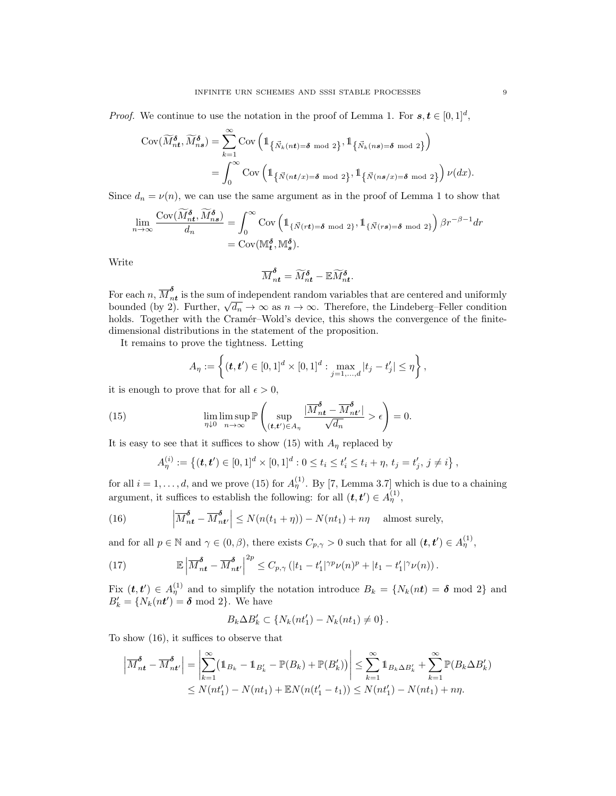*Proof.* We continue to use the notation in the proof of Lemma 1. For  $s, t \in [0, 1]^d$ ,

$$
\begin{split} \text{Cov}(\widetilde{M}^{\pmb{\delta}}_{n\pmb{t}},\widetilde{M}^{\pmb{\delta}}_{n\pmb{s}}) &= \sum_{k=1}^{\infty} \text{Cov}\left(\mathbb{1}_{\left\{\vec{N}_k(n\pmb{t})=\pmb{\delta} \bmod 2\right\}},\mathbb{1}_{\left\{\vec{N}_k(n\pmb{s})=\pmb{\delta} \bmod 2\right\}}\right) \\ &= \int_0^{\infty} \text{Cov}\left(\mathbb{1}_{\left\{\vec{N}(n\pmb{t}/x)=\pmb{\delta} \bmod 2\right\}},\mathbb{1}_{\left\{\vec{N}(n\pmb{s}/x)=\pmb{\delta} \bmod 2\right\}}\right) \nu(dx). \end{split}
$$

Since  $d_n = \nu(n)$ , we can use the same argument as in the proof of Lemma 1 to show that

$$
\lim_{n \to \infty} \frac{\text{Cov}(\widetilde{M}_{nt}^{\delta}, \widetilde{M}_{ns}^{\delta})}{d_n} = \int_0^{\infty} \text{Cov} \left( 1_{\{\vec{N}(rt) = \delta \mod 2\}}, 1_{\{\vec{N}(rs) = \delta \mod 2\}} \right) \beta r^{-\beta - 1} dr
$$

$$
= \text{Cov}(\mathbb{M}_{t}^{\delta}, \mathbb{M}_{s}^{\delta}).
$$

Write

$$
\overline{M}_{nt}^{\delta} = \widetilde{M}_{nt}^{\delta} - \mathbb{E} \widetilde{M}_{nt}^{\delta}.
$$

For each  $n, \overline{M}_n^{\boldsymbol{\delta}}$ For each n,  $M_{nt}^{\sigma}$  is the sum of independent random variables that are centered and uniformly bounded (by 2). Further,  $\sqrt{d_n} \to \infty$  as  $n \to \infty$ . Therefore, the Lindeberg–Feller condition holds. Together with the Cramér–Wold's device, this shows the convergence of the finitedimensional distributions in the statement of the proposition.

It remains to prove the tightness. Letting

$$
A_{\eta} := \left\{ (\bm{t}, \bm{t}') \in [0,1]^d \times [0,1]^d : \max_{j=1,\dots,d} |t_j - t'_j| \leq \eta \right\},\,
$$

it is enough to prove that for all  $\epsilon > 0$ ,

(15) 
$$
\lim_{\eta \downarrow 0} \lim_{n \to \infty} \mathbb{P}\left(\sup_{(\boldsymbol{t}, \boldsymbol{t}') \in A_{\eta}} \frac{|\overline{M}_{\boldsymbol{nt}}^{\boldsymbol{\delta}} - \overline{M}_{\boldsymbol{nt}'}^{\boldsymbol{\delta}}|}{\sqrt{d_n}} > \epsilon\right) = 0.
$$

It is easy to see that it suffices to show (15) with  $A_n$  replaced by

$$
A_{\eta}^{(i)} := \left\{ (\boldsymbol{t}, \boldsymbol{t}') \in [0,1]^d \times [0,1]^d : 0 \le t_i \le t'_i \le t_i + \eta, t_j = t'_j, j \ne i \right\},\
$$

for all  $i = 1, \ldots, d$ , and we prove (15) for  $A_{\eta}^{(1)}$ . By [7, Lemma 3.7] which is due to a chaining argument, it suffices to establish the following: for all  $(t, t') \in A_{\eta}^{(1)}$ ,

(16) 
$$
\left| \overline{M}_{nt}^{\delta} - \overline{M}_{nt'}^{\delta} \right| \le N(n(t_1 + \eta)) - N(nt_1) + n\eta \quad \text{almost surely},
$$

and for all  $p \in \mathbb{N}$  and  $\gamma \in (0, \beta)$ , there exists  $C_{p,\gamma} > 0$  such that for all  $(\boldsymbol{t}, \boldsymbol{t}') \in A_{\eta}^{(1)}$ ,

(17) 
$$
\mathbb{E}\left|\overline{M}_{nt}^{\delta}-\overline{M}_{nt'}^{\delta}\right|^{2p}\leq C_{p,\gamma}\left(|t_1-t'_1|^{\gamma p}\nu(n)^p+|t_1-t'_1|^{\gamma}\nu(n)\right).
$$

Fix  $(t, t') \in A_{\eta}^{(1)}$  and to simplify the notation introduce  $B_k = \{N_k(nt) = \delta \text{ mod } 2\}$  and  $B'_k = \{N_k(nt') = \boldsymbol{\delta} \bmod 2\}$ . We have

$$
B_k \Delta B'_k \subset \{N_k(nt'_1) - N_k(nt_1) \neq 0\}.
$$

To show (16), it suffices to observe that

$$
\left| \overline{M}_{nt}^{\delta} - \overline{M}_{nt'}^{\delta} \right| = \left| \sum_{k=1}^{\infty} (\mathbb{1}_{B_k} - \mathbb{1}_{B'_k} - \mathbb{P}(B_k) + \mathbb{P}(B'_k)) \right| \leq \sum_{k=1}^{\infty} \mathbb{1}_{B_k \Delta B'_k} + \sum_{k=1}^{\infty} \mathbb{P}(B_k \Delta B'_k)
$$
  

$$
\leq N(nt'_1) - N(nt_1) + \mathbb{E}N(n(t'_1 - t_1)) \leq N(nt'_1) - N(nt_1) + n\eta.
$$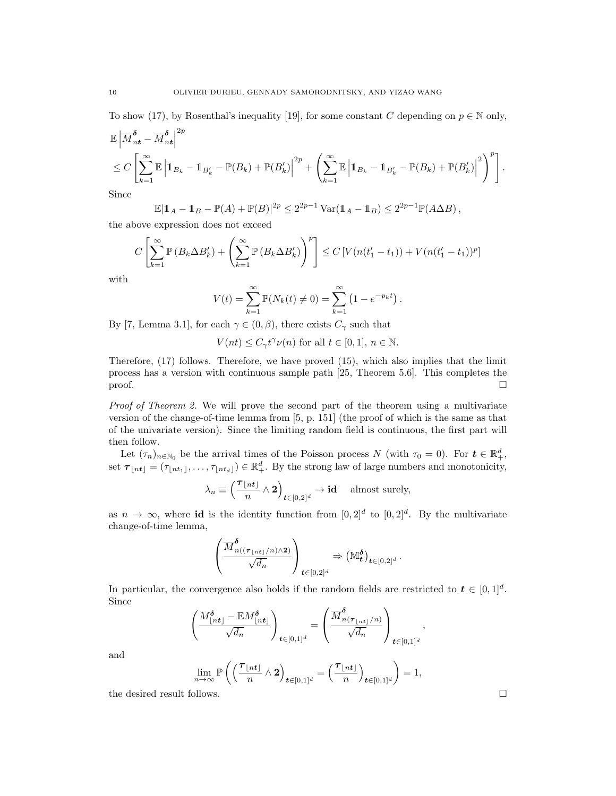To show (17), by Rosenthal's inequality [19], for some constant C depending on  $p \in \mathbb{N}$  only,

$$
\mathbb{E}\left|\overline{M}_{nt}^{\delta} - \overline{M}_{nt}^{\delta}\right|^{2p} \n\leq C \left[\sum_{k=1}^{\infty} \mathbb{E}\left|\mathbb{1}_{B_k} - \mathbb{1}_{B'_k} - \mathbb{P}(B_k) + \mathbb{P}(B'_k)\right|^{2p} + \left(\sum_{k=1}^{\infty} \mathbb{E}\left|\mathbb{1}_{B_k} - \mathbb{1}_{B'_k} - \mathbb{P}(B_k) + \mathbb{P}(B'_k)\right|^{2}\right)^{p}\right].
$$

Since

$$
\mathbb{E}|\mathbb{1}_A - \mathbb{1}_B - \mathbb{P}(A) + \mathbb{P}(B)|^{2p} \le 2^{2p-1} \operatorname{Var}(\mathbb{1}_A - \mathbb{1}_B) \le 2^{2p-1} \mathbb{P}(A \Delta B),
$$

the above expression does not exceed

 $\alpha$ 

$$
C\left[\sum_{k=1}^{\infty} \mathbb{P}\left(B_k \Delta B'_k\right) + \left(\sum_{k=1}^{\infty} \mathbb{P}\left(B_k \Delta B'_k\right)\right)^p\right] \le C\left[V\left(n(t'_1 - t_1)\right) + V\left(n(t'_1 - t_1)\right)^p\right]
$$

with

$$
V(t) = \sum_{k=1}^{\infty} \mathbb{P}(N_k(t) \neq 0) = \sum_{k=1}^{\infty} (1 - e^{-p_k t}).
$$

By [7, Lemma 3.1], for each  $\gamma \in (0, \beta)$ , there exists  $C_{\gamma}$  such that

 $V(nt) \leq C_{\gamma} t^{\gamma} \nu(n)$  for all  $t \in [0,1], n \in \mathbb{N}$ .

Therefore, (17) follows. Therefore, we have proved (15), which also implies that the limit process has a version with continuous sample path [25, Theorem 5.6]. This completes the  $\Box$ 

Proof of Theorem 2. We will prove the second part of the theorem using a multivariate version of the change-of-time lemma from [5, p. 151] (the proof of which is the same as that of the univariate version). Since the limiting random field is continuous, the first part will then follow.

Let  $(\tau_n)_{n \in \mathbb{N}_0}$  be the arrival times of the Poisson process N (with  $\tau_0 = 0$ ). For  $t \in \mathbb{R}^d_+$ , set  $\boldsymbol{\tau}_{\lfloor nt \rfloor} = (\tau_{\lfloor nt_1 \rfloor}, \ldots, \tau_{\lfloor nt_d \rfloor}) \in \mathbb{R}^d_+$ . By the strong law of large numbers and monotonicity,

$$
\lambda_n \equiv \left(\frac{\tau_{\lfloor nt \rfloor}}{n} \wedge \mathbf{2}\right)_{t \in [0,2]^d} \to \mathbf{id} \quad \text{ almost surely,}
$$

as  $n \to \infty$ , where id is the identity function from  $[0,2]^d$  to  $[0,2]^d$ . By the multivariate change-of-time lemma,

$$
\left(\frac{\overline{M}^{\delta}_{n((\boldsymbol{\tau}_{\lfloor nt\rfloor}/n)\wedge 2)}}{\sqrt{d_n}}\right)_{t\in [0,2]^d}\Rightarrow \left(\mathbb{M}^{\delta}_t\right)_{t\in [0,2]^d}.
$$

In particular, the convergence also holds if the random fields are restricted to  $t \in [0,1]^d$ . Since

$$
\left(\frac{M_{\lfloor nt \rfloor}^{\delta} - \mathbb{E}M_{\lfloor nt \rfloor}^{\delta}}{\sqrt{d_n}}\right)_{t \in [0,1]^d} = \left(\frac{\overline{M}_{n(\tau_{\lfloor nt \rfloor}/n)}^{\delta}}{\sqrt{d_n}}\right)_{t \in [0,1]^d}
$$

and

$$
\lim_{n\to\infty} \mathbb{P}\left(\left(\frac{\tau_{\lfloor nt \rfloor}}{n} \wedge \mathbf{2}\right)_{t\in[0,1]^d} = \left(\frac{\tau_{\lfloor nt \rfloor}}{n}\right)_{t\in[0,1]^d}\right) = 1,
$$

the desired result follows.

,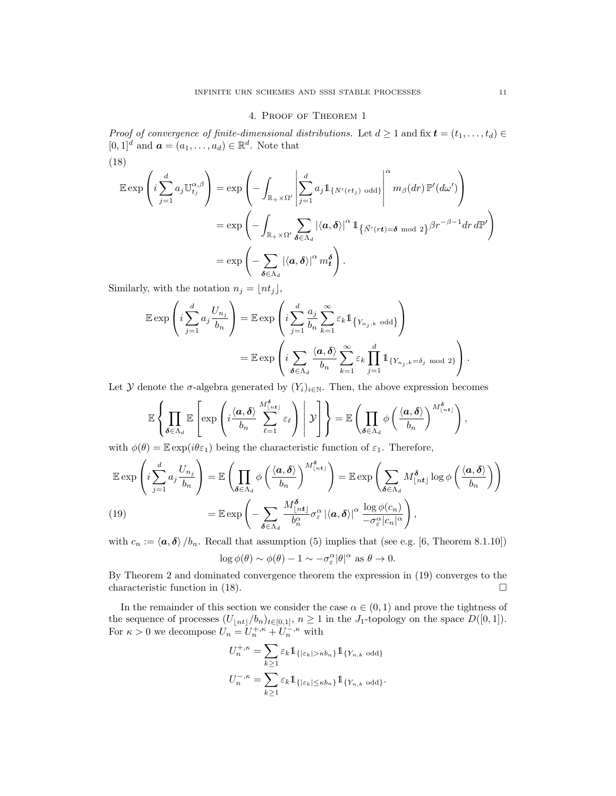# 4. Proof of Theorem 1

Proof of convergence of finite-dimensional distributions. Let  $d \geq 1$  and fix  $\boldsymbol{t} = (t_1, \ldots, t_d) \in$  $[0,1]^d$  and  $\boldsymbol{a} = (a_1, \ldots, a_d) \in \mathbb{R}^d$ . Note that

(18)  
\n
$$
\mathbb{E} \exp \left( i \sum_{j=1}^{d} a_j \mathbb{U}_{t_j}^{\alpha,\beta} \right) = \exp \left( - \int_{\mathbb{R}_+ \times \Omega'} \left| \sum_{j=1}^{d} a_j \mathbb{1}_{\{N'(rt_j) \text{ odd}\}} \right|^{\alpha} m_{\beta}(dr) \mathbb{P}'(d\omega') \right)
$$
\n
$$
= \exp \left( - \int_{\mathbb{R}_+ \times \Omega'} \sum_{\delta \in \Lambda_d} |\langle a, \delta \rangle|^{\alpha} \mathbb{1}_{\{\vec{N}'(rt) = \delta \text{ mod } 2\}} \beta r^{-\beta - 1} dr d\mathbb{P}' \right)
$$
\n
$$
= \exp \left( - \sum_{\delta \in \Lambda_d} |\langle a, \delta \rangle|^{\alpha} m_t^{\delta} \right).
$$

Similarly, with the notation  $n_j = \lfloor nt_j \rfloor$ ,

$$
\mathbb{E} \exp\left(i\sum_{j=1}^d a_j \frac{U_{n_j}}{b_n}\right) = \mathbb{E} \exp\left(i\sum_{j=1}^d \frac{a_j}{b_n} \sum_{k=1}^\infty \varepsilon_k \mathbb{1}_{\{Y_{n_j,k} \text{ odd}\}}\right)
$$

$$
= \mathbb{E} \exp\left(i\sum_{\delta \in \Lambda_d} \frac{\langle a, \delta \rangle}{b_n} \sum_{k=1}^\infty \varepsilon_k \prod_{j=1}^d \mathbb{1}_{\{Y_{n_j,k} = \delta_j \text{ mod } 2\}}\right).
$$

Let Y denote the  $\sigma$ -algebra generated by  $(Y_i)_{i\in\mathbb{N}}$ . Then, the above expression becomes

$$
\mathbb{E}\left\{\prod_{\delta\in\Lambda_d}\mathbb{E}\left[\exp\left(i\frac{\langle\bm{a},\delta\rangle}{b_n}\sum_{\ell=1}^{M_{\lfloor nt\rfloor}^{\delta}}\varepsilon_\ell\right)\bigg|\mathcal{Y}\right]\right\}=\mathbb{E}\left(\prod_{\delta\in\Lambda_d}\phi\left(\frac{\langle\bm{a},\delta\rangle}{b_n}\right)^{M_{\lfloor nt\rfloor}^{\delta}}\right),\right\}
$$

with  $\phi(\theta) = \mathbb{E} \exp(i\theta \varepsilon_1)$  being the characteristic function of  $\varepsilon_1$ . Therefore,

$$
\mathbb{E} \exp\left(i\sum_{j=1}^{d} a_j \frac{U_{n_j}}{b_n}\right) = \mathbb{E}\left(\prod_{\delta \in \Lambda_d} \phi\left(\frac{\langle a, \delta \rangle}{b_n}\right)^{M_{\lfloor nt \rfloor}^{\delta}}\right) = \mathbb{E} \exp\left(\sum_{\delta \in \Lambda_d} M_{\lfloor nt \rfloor}^{\delta} \log \phi\left(\frac{\langle a, \delta \rangle}{b_n}\right)\right)
$$
\n(19)\n
$$
= \mathbb{E} \exp\left(-\sum_{\delta \in \Lambda_d} \frac{M_{\lfloor nt \rfloor}^{\delta}}{b_n^{\alpha}} \sigma_{\varepsilon}^{\alpha} |\langle a, \delta \rangle|^{\alpha} \frac{\log \phi(c_n)}{-\sigma_{\varepsilon}^{\alpha} |c_n|^{\alpha}}\right),
$$

with  $c_n := \langle \mathbf{a}, \mathbf{\delta} \rangle / b_n$ . Recall that assumption (5) implies that (see e.g. [6, Theorem 8.1.10])

$$
\log \phi(\theta) \sim \phi(\theta) - 1 \sim -\sigma_{\varepsilon}^{\alpha} |\theta|^{\alpha} \text{ as } \theta \to 0.
$$

By Theorem 2 and dominated convergence theorem the expression in (19) converges to the characteristic function in (18).  $\Box$ 

In the remainder of this section we consider the case  $\alpha \in (0,1)$  and prove the tightness of the sequence of processes  $(U_{\lfloor nt \rfloor}/b_n)_{t\in[0,1]}, n \geq 1$  in the J<sub>1</sub>-topology on the space  $D([0,1]).$ For  $\kappa > 0$  we decompose  $U_n = U_n^{+, \kappa} + U_n^{-, \kappa}$  with

$$
U_n^{+,\kappa} = \sum_{k\geq 1} \varepsilon_k 1\!\!1_{\{|\varepsilon_k| > \kappa b_n\}} 1\!\!1_{\{Y_{n,k} \text{ odd}\}}
$$

$$
U_n^{-,\kappa} = \sum_{k\geq 1} \varepsilon_k 1\!\!1_{\{|\varepsilon_k| \leq \kappa b_n\}} 1\!\!1_{\{Y_{n,k} \text{ odd}\}}.
$$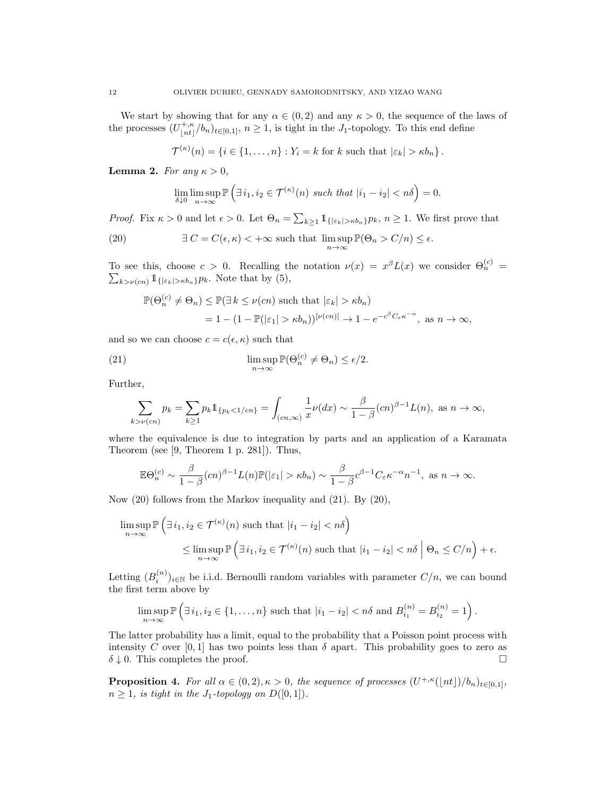We start by showing that for any  $\alpha \in (0, 2)$  and any  $\kappa > 0$ , the sequence of the laws of the processes  $(U_{\perp n}^{+,\kappa})$  $\binom{+, \kappa}{\lfloor nt \rfloor}$ / $b_n$ )<sub>t∈[0,1]</sub>,  $n \geq 1$ , is tight in the J<sub>1</sub>-topology. To this end define

$$
\mathcal{T}^{(\kappa)}(n) = \{i \in \{1, \ldots, n\} : Y_i = k \text{ for } k \text{ such that } |\varepsilon_k| > \kappa b_n\}.
$$

Lemma 2. For any  $\kappa > 0$ ,

$$
\lim_{\delta \downarrow 0} \limsup_{n \to \infty} \mathbb{P}\left(\exists i_1, i_2 \in \mathcal{T}^{(\kappa)}(n) \text{ such that } |i_1 - i_2| < n\delta\right) = 0.
$$

*Proof.* Fix  $\kappa > 0$  and let  $\epsilon > 0$ . Let  $\Theta_n = \sum_{k \geq 1} 1_{\{|\varepsilon_k| > \kappa b_n\}} p_k$ ,  $n \geq 1$ . We first prove that

(20) 
$$
\exists C = C(\epsilon, \kappa) < +\infty \text{ such that } \limsup_{n \to \infty} \mathbb{P}(\Theta_n > C/n) \le \epsilon.
$$

To see this, choose  $c > 0$ . Recalling the notation  $\nu(x) = x^{\beta}L(x)$  we consider  $\Theta_n^{(c)} = \sum_{k > \nu(c)} 1_{\{|\varepsilon_k| > \kappa b_n\}} p_k$ . Note that by (5),  $\sum_{k>\nu(cn)} 1_{\{|\varepsilon_k|>\kappa b_n\}}p_k$ . Note that by (5),

$$
\mathbb{P}(\Theta_n^{(c)} \neq \Theta_n) \le \mathbb{P}(\exists k \le \nu(cn) \text{ such that } |\varepsilon_k| > \kappa b_n)
$$
  
= 1 - (1 -  $\mathbb{P}(|\varepsilon_1| > \kappa b_n)$ )<sup>[\nu(cn)]</sup>  $\to$  1 -  $e^{-c^{\beta}C_{\varepsilon}\kappa^{-\alpha}}$ , as  $n \to \infty$ ,

and so we can choose  $c = c(\epsilon, \kappa)$  such that

(21) 
$$
\limsup_{n \to \infty} \mathbb{P}(\Theta_n^{(c)} \neq \Theta_n) \le \epsilon/2.
$$

Further,

$$
\sum_{k>\nu(cn)} p_k = \sum_{k\geq 1} p_k 1\!\!1_{\{p_k < 1/cn\}} = \int_{(cn,\infty)} \frac{1}{x} \nu(dx) \sim \frac{\beta}{1-\beta}(cn)^{\beta-1} L(n), \text{ as } n \to \infty,
$$

where the equivalence is due to integration by parts and an application of a Karamata Theorem (see [9, Theorem 1 p. 281]). Thus,

$$
\mathbb{E}\Theta_n^{(c)} \sim \frac{\beta}{1-\beta}(cn)^{\beta-1}L(n)\mathbb{P}(|\varepsilon_1| > \kappa b_n) \sim \frac{\beta}{1-\beta}c^{\beta-1}C_{\varepsilon}\kappa^{-\alpha}n^{-1}, \text{ as } n \to \infty.
$$

Now (20) follows from the Markov inequality and (21). By (20),

$$
\limsup_{n \to \infty} \mathbb{P}\left(\exists i_1, i_2 \in \mathcal{T}^{(\kappa)}(n) \text{ such that } |i_1 - i_2| < n\delta\right)
$$
\n
$$
\leq \limsup_{n \to \infty} \mathbb{P}\left(\exists i_1, i_2 \in \mathcal{T}^{(\kappa)}(n) \text{ such that } |i_1 - i_2| < n\delta \; \middle| \; \Theta_n \leq C/n\right) + \epsilon.
$$

Letting  $(B_i^{(n)})_{i\in\mathbb{N}}$  be i.i.d. Bernoulli random variables with parameter  $C/n$ , we can bound the first term above by

$$
\limsup_{n \to \infty} \mathbb{P}\left(\exists i_1, i_2 \in \{1, \dots, n\} \text{ such that } |i_1 - i_2| < n\delta \text{ and } B_{i_1}^{(n)} = B_{i_2}^{(n)} = 1\right).
$$

The latter probability has a limit, equal to the probability that a Poisson point process with intensity C over [0, 1] has two points less than  $\delta$  apart. This probability goes to zero as  $\delta \downarrow 0$ . This completes the proof.

**Proposition 4.** For all  $\alpha \in (0, 2), \kappa > 0$ , the sequence of processes  $(U^{+,\kappa}(\lfloor nt \rfloor)/b_n)_{t \in [0,1]},$  $n \geq 1$ , is tight in the  $J_1$ -topology on  $D([0,1])$ .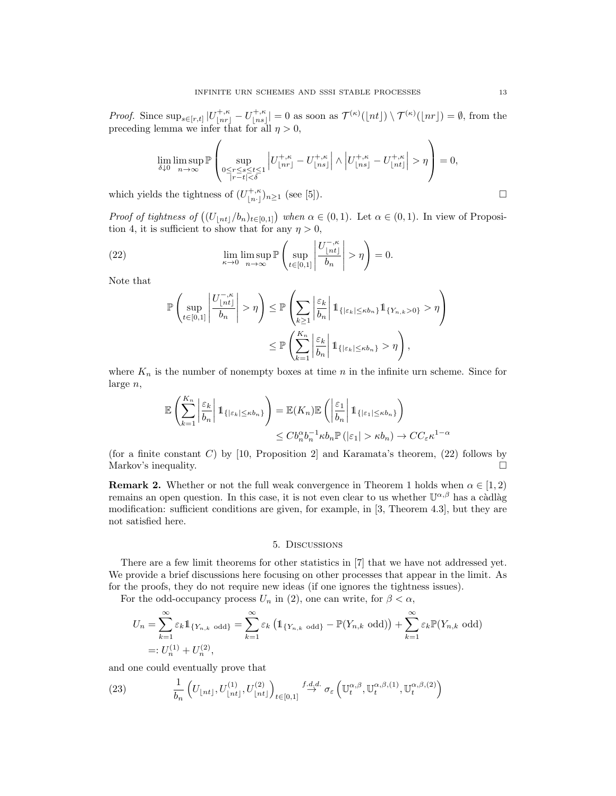*Proof.* Since  $\sup_{s\in[r,t]}|U^{+, \kappa}_{\lfloor nr \rfloor} - U^{+, \kappa}_{\lfloor ns \rfloor}$  $\vert_{[ns]}^{+, \kappa} \vert = 0$  as soon as  $\mathcal{T}^{(\kappa)}(\lfloor nt \rfloor) \setminus \mathcal{T}^{(\kappa)}(\lfloor nr \rfloor) = \emptyset$ , from the preceding lemma we infer that for all  $\eta > 0$ ,

$$
\lim_{\delta\downarrow 0} \limsup_{n\to\infty} \mathbb{P}\left(\sup_{\substack{0\leq r\leq s\leq t\leq 1\\ |r-t|<\delta}} \left|U^{+, \kappa}_{\lfloor nr\rfloor} - U^{+, \kappa}_{\lfloor ns\rfloor}\right| \wedge \left|U^{+, \kappa}_{\lfloor ns\rfloor} - U^{+, \kappa}_{\lfloor nt\rfloor}\right| > \eta\right) = 0,
$$

which yields the tightness of  $(U_{\lfloor n \cdot \rfloor}^{+,\kappa})_{n\geq 1}$  (see [5]).

*Proof of tightness of*  $((U_{\lfloor nt \rfloor}/b_n)_{t\in [0,1]})$  when  $\alpha \in (0,1)$ . Let  $\alpha \in (0,1)$ . In view of Proposition 4, it is sufficient to show that for any  $\eta > 0$ ,

(22) 
$$
\lim_{\kappa \to 0} \limsup_{n \to \infty} \mathbb{P}\left(\sup_{t \in [0,1]} \left|\frac{U_{\lfloor nt \rfloor}^{-,\kappa}}{b_n}\right| > \eta\right) = 0.
$$

Note that

$$
\mathbb{P}\left(\sup_{t\in[0,1]}\left|\frac{U_{\lfloor nt \rfloor}^{-,\kappa}}{b_n}\right| > \eta\right) \leq \mathbb{P}\left(\sum_{k\geq 1}\left|\frac{\varepsilon_k}{b_n}\right|1_{\{|\varepsilon_k| \leq \kappa b_n\}}1_{\{Y_{n,k}>0\}} > \eta\right) \leq \mathbb{P}\left(\sum_{k=1}^{K_n}\left|\frac{\varepsilon_k}{b_n}\right|1_{\{|\varepsilon_k| \leq \kappa b_n\}} > \eta\right),
$$

where  $K_n$  is the number of nonempty boxes at time n in the infinite urn scheme. Since for large n,

$$
\mathbb{E}\left(\sum_{k=1}^{K_n} \left|\frac{\varepsilon_k}{b_n}\right| 1_{\{|\varepsilon_k| \le \kappa b_n\}}\right) = \mathbb{E}(K_n)\mathbb{E}\left(\left|\frac{\varepsilon_1}{b_n}\right| 1_{\{|\varepsilon_1| \le \kappa b_n\}}\right) \le Cb_n^{\alpha}b_n^{-1}\kappa b_n \mathbb{P}\left(|\varepsilon_1| > \kappa b_n\right) \to CC_{\varepsilon}\kappa^{1-\alpha}
$$

(for a finite constant C) by [10, Proposition 2] and Karamata's theorem,  $(22)$  follows by Markov's inequality.

**Remark 2.** Whether or not the full weak convergence in Theorem 1 holds when  $\alpha \in [1,2)$ remains an open question. In this case, it is not even clear to us whether  $\mathbb{U}^{\alpha,\beta}$  has a càdlàg modification: sufficient conditions are given, for example, in [3, Theorem 4.3], but they are not satisfied here.

#### 5. Discussions

There are a few limit theorems for other statistics in [7] that we have not addressed yet. We provide a brief discussions here focusing on other processes that appear in the limit. As for the proofs, they do not require new ideas (if one ignores the tightness issues).

For the odd-occupancy process  $U_n$  in (2), one can write, for  $\beta < \alpha$ ,

$$
U_n = \sum_{k=1}^{\infty} \varepsilon_k \mathbb{1}_{\{Y_{n,k} \text{ odd}\}} = \sum_{k=1}^{\infty} \varepsilon_k \left( \mathbb{1}_{\{Y_{n,k} \text{ odd}\}} - \mathbb{P}(Y_{n,k} \text{ odd}) \right) + \sum_{k=1}^{\infty} \varepsilon_k \mathbb{P}(Y_{n,k} \text{ odd})
$$
  
=:  $U_n^{(1)} + U_n^{(2)}$ ,

and one could eventually prove that

(23) 
$$
\frac{1}{b_n} \left( U_{\lfloor nt \rfloor}, U_{\lfloor nt \rfloor}^{(1)}, U_{\lfloor nt \rfloor}^{(2)} \right)_{t \in [0,1]} \xrightarrow{f.d.d.} \sigma_{\varepsilon} \left( \mathbb{U}_{t}^{\alpha,\beta}, \mathbb{U}_{t}^{\alpha,\beta,(1)}, \mathbb{U}_{t}^{\alpha,\beta,(2)} \right)
$$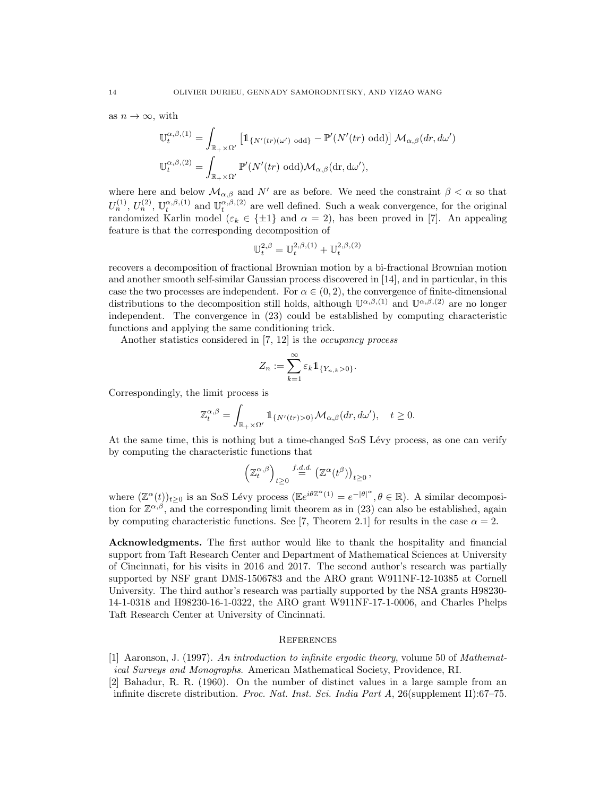as  $n \to \infty$ , with

$$
\mathbb{U}_{t}^{\alpha,\beta,(1)} = \int_{\mathbb{R}_{+} \times \Omega'} \left[ \mathbb{1}_{\{N'(tr)(\omega') \text{ odd}\}} - \mathbb{P}'(N'(tr) \text{ odd}) \right] \mathcal{M}_{\alpha,\beta}(dr, d\omega')
$$
  

$$
\mathbb{U}_{t}^{\alpha,\beta,(2)} = \int_{\mathbb{R}_{+} \times \Omega'} \mathbb{P}'(N'(tr) \text{ odd}) \mathcal{M}_{\alpha,\beta}(\text{dr}, d\omega'),
$$

where here and below  $\mathcal{M}_{\alpha,\beta}$  and N' are as before. We need the constraint  $\beta < \alpha$  so that  $U_n^{(1)}$ ,  $U_n^{(2)}$ ,  $\mathbb{U}_t^{\alpha,\beta,(1)}$  and  $\mathbb{U}_t^{\alpha,\beta,(2)}$  are well defined. Such a weak convergence, for the original randomized Karlin model ( $\varepsilon_k \in \{\pm 1\}$  and  $\alpha = 2$ ), has been proved in [7]. An appealing feature is that the corresponding decomposition of

$$
\mathbb{U}^{2,\beta}_t = \mathbb{U}^{2,\beta,(1)}_t + \mathbb{U}^{2,\beta,(2)}_t
$$

recovers a decomposition of fractional Brownian motion by a bi-fractional Brownian motion and another smooth self-similar Gaussian process discovered in [14], and in particular, in this case the two processes are independent. For  $\alpha \in (0, 2)$ , the convergence of finite-dimensional distributions to the decomposition still holds, although  $\mathbb{U}^{\alpha,\beta,(1)}$  and  $\mathbb{U}^{\alpha,\beta,(2)}$  are no longer independent. The convergence in (23) could be established by computing characteristic functions and applying the same conditioning trick.

Another statistics considered in [7, 12] is the *occupancy process* 

$$
Z_n:=\sum_{k=1}^\infty \varepsilon_k 1\!\!1_{\{Y_{n,k}>0\}}.
$$

Correspondingly, the limit process is

$$
\mathbb{Z}^{\alpha,\beta}_t = \int_{\mathbb{R}_+ \times \Omega'} \mathbb{1}_{\{N'(tr) > 0\}} \mathcal{M}_{\alpha,\beta}(dr,d\omega'), \quad t \ge 0.
$$

At the same time, this is nothing but a time-changed  $S\alpha S$  Lévy process, as one can verify by computing the characteristic functions that

$$
\left(\mathbb{Z}_t^{\alpha,\beta}\right)_{t\geq 0} \stackrel{f.d.d.}{=} \left(\mathbb{Z}^\alpha(t^\beta)\right)_{t\geq 0},
$$

where  $(\mathbb{Z}^{\alpha}(t))_{t\geq 0}$  is an SaS Lévy process  $(\mathbb{E}e^{i\theta \mathbb{Z}^{\alpha}(1)} = e^{-|\theta|^{\alpha}}, \theta \in \mathbb{R})$ . A similar decomposition for  $\mathbb{Z}^{\alpha,\beta}$ , and the corresponding limit theorem as in (23) can also be established, again by computing characteristic functions. See [7, Theorem 2.1] for results in the case  $\alpha = 2$ .

Acknowledgments. The first author would like to thank the hospitality and financial support from Taft Research Center and Department of Mathematical Sciences at University of Cincinnati, for his visits in 2016 and 2017. The second author's research was partially supported by NSF grant DMS-1506783 and the ARO grant W911NF-12-10385 at Cornell University. The third author's research was partially supported by the NSA grants H98230- 14-1-0318 and H98230-16-1-0322, the ARO grant W911NF-17-1-0006, and Charles Phelps Taft Research Center at University of Cincinnati.

#### **REFERENCES**

[1] Aaronson, J. (1997). An introduction to infinite ergodic theory, volume 50 of Mathematical Surveys and Monographs. American Mathematical Society, Providence, RI.

<sup>[2]</sup> Bahadur, R. R. (1960). On the number of distinct values in a large sample from an infinite discrete distribution. *Proc. Nat. Inst. Sci. India Part A*, 26(supplement II):67–75.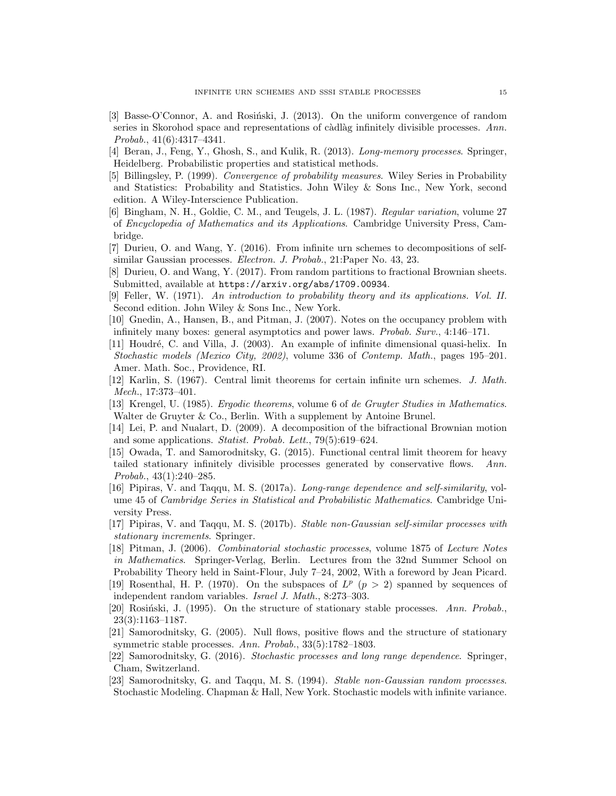- [3] Basse-O'Connor, A. and Rosinski, J. (2013). On the uniform convergence of random series in Skorohod space and representations of càdlàg infinitely divisible processes.  $Ann.$ Probab., 41(6):4317–4341.
- [4] Beran, J., Feng, Y., Ghosh, S., and Kulik, R. (2013). Long-memory processes. Springer, Heidelberg. Probabilistic properties and statistical methods.
- [5] Billingsley, P. (1999). Convergence of probability measures. Wiley Series in Probability and Statistics: Probability and Statistics. John Wiley & Sons Inc., New York, second edition. A Wiley-Interscience Publication.
- [6] Bingham, N. H., Goldie, C. M., and Teugels, J. L. (1987). Regular variation, volume 27 of Encyclopedia of Mathematics and its Applications. Cambridge University Press, Cambridge.
- [7] Durieu, O. and Wang, Y. (2016). From infinite urn schemes to decompositions of selfsimilar Gaussian processes. Electron. J. Probab., 21:Paper No. 43, 23.
- [8] Durieu, O. and Wang, Y. (2017). From random partitions to fractional Brownian sheets. Submitted, available at https://arxiv.org/abs/1709.00934.
- [9] Feller, W. (1971). An introduction to probability theory and its applications. Vol. II. Second edition. John Wiley & Sons Inc., New York.
- [10] Gnedin, A., Hansen, B., and Pitman, J. (2007). Notes on the occupancy problem with infinitely many boxes: general asymptotics and power laws. Probab. Surv., 4:146–171.
- [11] Houdr´e, C. and Villa, J. (2003). An example of infinite dimensional quasi-helix. In Stochastic models (Mexico City, 2002), volume 336 of Contemp. Math., pages 195–201. Amer. Math. Soc., Providence, RI.
- [12] Karlin, S. (1967). Central limit theorems for certain infinite urn schemes. J. Math. Mech., 17:373–401.
- [13] Krengel, U. (1985). Ergodic theorems, volume 6 of de Gruyter Studies in Mathematics. Walter de Gruyter & Co., Berlin. With a supplement by Antoine Brunel.
- [14] Lei, P. and Nualart, D. (2009). A decomposition of the bifractional Brownian motion and some applications. Statist. Probab. Lett., 79(5):619–624.
- [15] Owada, T. and Samorodnitsky, G. (2015). Functional central limit theorem for heavy tailed stationary infinitely divisible processes generated by conservative flows. Ann. Probab., 43(1):240–285.
- [16] Pipiras, V. and Taqqu, M. S. (2017a). Long-range dependence and self-similarity, volume 45 of Cambridge Series in Statistical and Probabilistic Mathematics. Cambridge University Press.
- [17] Pipiras, V. and Taqqu, M. S. (2017b). Stable non-Gaussian self-similar processes with stationary increments. Springer.
- [18] Pitman, J. (2006). Combinatorial stochastic processes, volume 1875 of Lecture Notes in Mathematics. Springer-Verlag, Berlin. Lectures from the 32nd Summer School on Probability Theory held in Saint-Flour, July 7–24, 2002, With a foreword by Jean Picard.
- [19] Rosenthal, H. P. (1970). On the subspaces of  $L^p$  ( $p > 2$ ) spanned by sequences of independent random variables. Israel J. Math., 8:273–303.
- [20] Rosiński, J. (1995). On the structure of stationary stable processes. Ann. Probab., 23(3):1163–1187.
- [21] Samorodnitsky, G. (2005). Null flows, positive flows and the structure of stationary symmetric stable processes. Ann. Probab., 33(5):1782–1803.
- [22] Samorodnitsky, G. (2016). Stochastic processes and long range dependence. Springer, Cham, Switzerland.
- [23] Samorodnitsky, G. and Taqqu, M. S. (1994). Stable non-Gaussian random processes. Stochastic Modeling. Chapman & Hall, New York. Stochastic models with infinite variance.